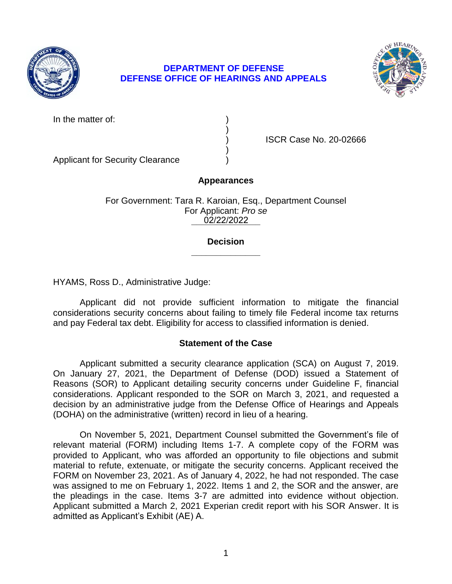

# **DEFENSE OFFICE OF HEARINGS AND APPEALS DEPARTMENT OF DEFENSE**



In the matter of:

| € |  |  |  |
|---|--|--|--|

) ISCR Case No. 20-02666

Applicant for Security Clearance )

# **Appearances**

)

)

**\_\_\_\_\_\_\_\_\_\_\_\_\_\_**  02/22/2022 For Government: Tara R. Karoian, Esq., Department Counsel For Applicant: *Pro se* 

#### **\_\_\_\_\_\_\_\_\_\_\_\_\_\_ Decision**

HYAMS, Ross D., Administrative Judge:

 Applicant did not provide sufficient information to mitigate the financial considerations security concerns about failing to timely file Federal income tax returns and pay Federal tax debt. Eligibility for access to classified information is denied.

## **Statement of the Case**

 Applicant submitted a security clearance application (SCA) on August 7, 2019. considerations. Applicant responded to the SOR on March 3, 2021, and requested a decision by an administrative judge from the Defense Office of Hearings and Appeals On January 27, 2021, the Department of Defense (DOD) issued a Statement of Reasons (SOR) to Applicant detailing security concerns under Guideline F, financial (DOHA) on the administrative (written) record in lieu of a hearing.

 On November 5, 2021, Department Counsel submitted the Government's file of relevant material (FORM) including Items 1-7. A complete copy of the FORM was provided to Applicant, who was afforded an opportunity to file objections and submit material to refute, extenuate, or mitigate the security concerns. Applicant received the FORM on November 23, 2021. As of January 4, 2022, he had not responded. The case was assigned to me on February 1, 2022. Items 1 and 2, the SOR and the answer, are the pleadings in the case. Items 3-7 are admitted into evidence without objection. Applicant submitted a March 2, 2021 Experian credit report with his SOR Answer. It is admitted as Applicant's Exhibit (AE) A.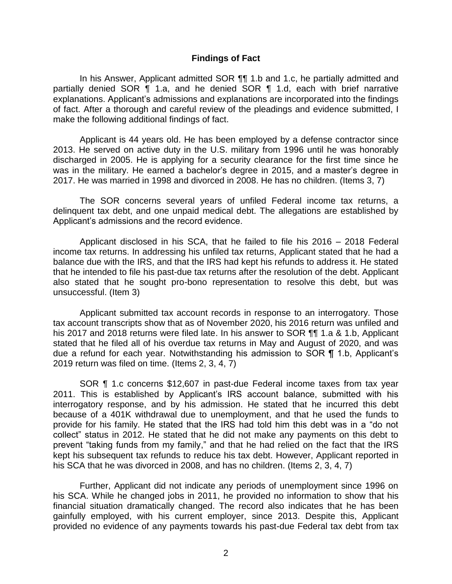#### **Findings of Fact**

 In his Answer, Applicant admitted SOR ¶¶ 1.b and 1.c, he partially admitted and partially denied SOR ¶ 1.a, and he denied SOR ¶ 1.d, each with brief narrative explanations. Applicant's admissions and explanations are incorporated into the findings of fact. After a thorough and careful review of the pleadings and evidence submitted, I make the following additional findings of fact.

 Applicant is 44 years old. He has been employed by a defense contractor since 2013. He served on active duty in the U.S. military from 1996 until he was honorably discharged in 2005. He is applying for a security clearance for the first time since he was in the military. He earned a bachelor's degree in 2015, and a master's degree in 2017. He was married in 1998 and divorced in 2008. He has no children. (Items 3, 7)

 The SOR concerns several years of unfiled Federal income tax returns, a delinquent tax debt, and one unpaid medical debt. The allegations are established by Applicant's admissions and the record evidence.

 Applicant disclosed in his SCA, that he failed to file his 2016 – 2018 Federal income tax returns. In addressing his unfiled tax returns, Applicant stated that he had a balance due with the IRS, and that the IRS had kept his refunds to address it. He stated that he intended to file his past-due tax returns after the resolution of the debt. Applicant also stated that he sought pro-bono representation to resolve this debt, but was unsuccessful. (Item 3)

 Applicant submitted tax account records in response to an interrogatory. Those tax account transcripts show that as of November 2020, his 2016 return was unfiled and his 2017 and 2018 returns were filed late. In his answer to SOR ¶¶ 1.a & 1.b, Applicant stated that he filed all of his overdue tax returns in May and August of 2020, and was due a refund for each year. Notwithstanding his admission to SOR ¶ 1.b, Applicant's 2019 return was filed on time. (Items 2, 3, 4, 7)

 SOR ¶ 1.c concerns \$12,607 in past-due Federal income taxes from tax year 2011. This is established by Applicant's IRS account balance, submitted with his interrogatory response, and by his admission. He stated that he incurred this debt because of a 401K withdrawal due to unemployment, and that he used the funds to provide for his family. He stated that the IRS had told him this debt was in a "do not collect" status in 2012. He stated that he did not make any payments on this debt to prevent "taking funds from my family," and that he had relied on the fact that the IRS kept his subsequent tax refunds to reduce his tax debt. However, Applicant reported in his SCA that he was divorced in 2008, and has no children. (Items 2, 3, 4, 7)

 Further, Applicant did not indicate any periods of unemployment since 1996 on his SCA. While he changed jobs in 2011, he provided no information to show that his financial situation dramatically changed. The record also indicates that he has been provided no evidence of any payments towards his past-due Federal tax debt from tax gainfully employed, with his current employer, since 2013. Despite this, Applicant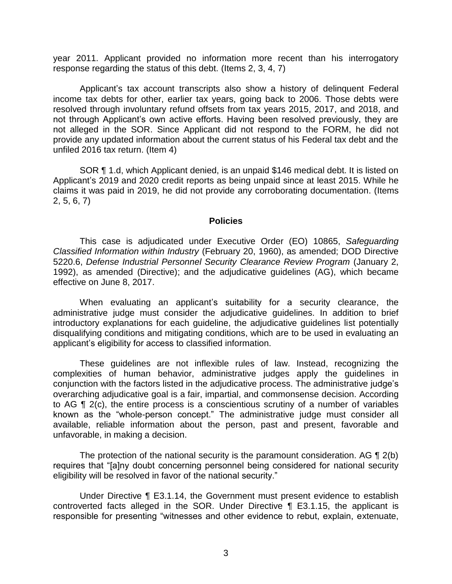year 2011. Applicant provided no information more recent than his interrogatory response regarding the status of this debt. (Items 2, 3, 4, 7)

 Applicant's tax account transcripts also show a history of delinquent Federal income tax debts for other, earlier tax years, going back to 2006. Those debts were resolved through involuntary refund offsets from tax years 2015, 2017, and 2018, and not through Applicant's own active efforts. Having been resolved previously, they are not alleged in the SOR. Since Applicant did not respond to the FORM, he did not provide any updated information about the current status of his Federal tax debt and the unfiled 2016 tax return. (Item 4)

 Applicant's 2019 and 2020 credit reports as being unpaid since at least 2015. While he claims it was paid in 2019, he did not provide any corroborating documentation. (Items SOR ¶ 1.d, which Applicant denied, is an unpaid \$146 medical debt. It is listed on 2, 5, 6, 7)

#### **Policies**

 *Classified Information within Industry* (February 20, 1960), as amended; DOD Directive 5220.6, *Defense Industrial Personnel Security Clearance Review Program* (January 2, 1992), as amended (Directive); and the adjudicative guidelines (AG), which became This case is adjudicated under Executive Order (EO) 10865, *Safeguarding*  effective on June 8, 2017.

 When evaluating an applicant's suitability for a security clearance, the administrative judge must consider the adjudicative guidelines. In addition to brief introductory explanations for each guideline, the adjudicative guidelines list potentially disqualifying conditions and mitigating conditions, which are to be used in evaluating an applicant's eligibility for access to classified information.

 These guidelines are not inflexible rules of law. Instead, recognizing the complexities of human behavior, administrative judges apply the guidelines in conjunction with the factors listed in the adjudicative process. The administrative judge's to AG ¶ 2(c), the entire process is a conscientious scrutiny of a number of variables known as the "whole-person concept." The administrative judge must consider all available, reliable information about the person, past and present, favorable and overarching adjudicative goal is a fair, impartial, and commonsense decision. According unfavorable, in making a decision.

The protection of the national security is the paramount consideration. AG  $\P$  2(b) eligibility will be resolved in favor of the national security." requires that "[a]ny doubt concerning personnel being considered for national security

 Under Directive ¶ E3.1.14, the Government must present evidence to establish controverted facts alleged in the SOR. Under Directive ¶ E3.1.15, the applicant is responsible for presenting "witnesses and other evidence to rebut, explain, extenuate,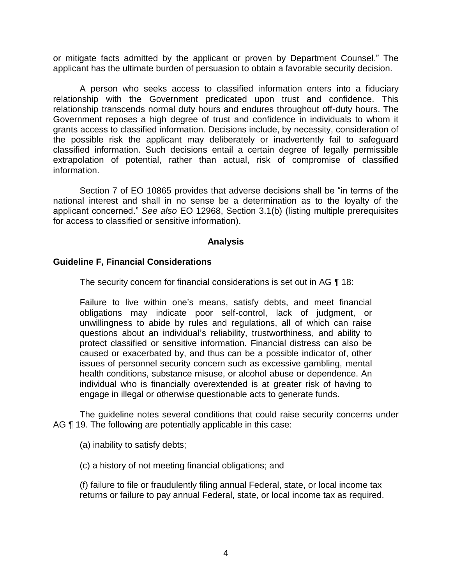or mitigate facts admitted by the applicant or proven by Department Counsel." The applicant has the ultimate burden of persuasion to obtain a favorable security decision.

 A person who seeks access to classified information enters into a fiduciary relationship with the Government predicated upon trust and confidence. This relationship transcends normal duty hours and endures throughout off-duty hours. The Government reposes a high degree of trust and confidence in individuals to whom it grants access to classified information. Decisions include, by necessity, consideration of the possible risk the applicant may deliberately or inadvertently fail to safeguard classified information. Such decisions entail a certain degree of legally permissible extrapolation of potential, rather than actual, risk of compromise of classified information.

 Section 7 of EO 10865 provides that adverse decisions shall be "in terms of the national interest and shall in no sense be a determination as to the loyalty of the applicant concerned." *See also* EO 12968, Section 3.1(b) (listing multiple prerequisites for access to classified or sensitive information).

## **Analysis**

## **Guideline F, Financial Considerations**

The security concern for financial considerations is set out in AG ¶ 18:

Failure to live within one's means, satisfy debts, and meet financial obligations may indicate poor self-control, lack of judgment, or unwillingness to abide by rules and regulations, all of which can raise questions about an individual's reliability, trustworthiness, and ability to protect classified or sensitive information. Financial distress can also be caused or exacerbated by, and thus can be a possible indicator of, other issues of personnel security concern such as excessive gambling, mental health conditions, substance misuse, or alcohol abuse or dependence. An individual who is financially overextended is at greater risk of having to engage in illegal or otherwise questionable acts to generate funds.

 The guideline notes several conditions that could raise security concerns under AG ¶ 19. The following are potentially applicable in this case:

(a) inability to satisfy debts;

(c) a history of not meeting financial obligations; and

(f) failure to file or fraudulently filing annual Federal, state, or local income tax returns or failure to pay annual Federal, state, or local income tax as required.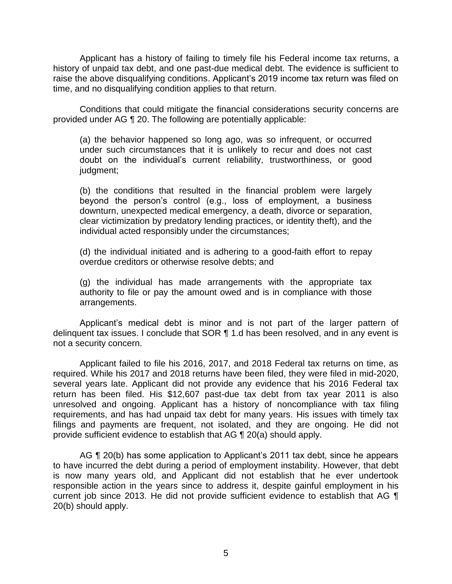Applicant has a history of failing to timely file his Federal income tax returns, a history of unpaid tax debt, and one past-due medical debt. The evidence is sufficient to raise the above disqualifying conditions. Applicant's 2019 income tax return was filed on time, and no disqualifying condition applies to that return.

 provided under AG ¶ 20. The following are potentially applicable: Conditions that could mitigate the financial considerations security concerns are

(a) the behavior happened so long ago, was so infrequent, or occurred under such circumstances that it is unlikely to recur and does not cast doubt on the individual's current reliability, trustworthiness, or good judgment;

(b) the conditions that resulted in the financial problem were largely beyond the person's control (e.g., loss of employment, a business downturn, unexpected medical emergency, a death, divorce or separation, clear victimization by predatory lending practices, or identity theft), and the individual acted responsibly under the circumstances;

(d) the individual initiated and is adhering to a good-faith effort to repay overdue creditors or otherwise resolve debts; and

 (g) the individual has made arrangements with the appropriate tax authority to file or pay the amount owed and is in compliance with those arrangements.

delinquent tax issues. I conclude that SOR ¶ 1.d has been resolved, and in any event is Applicant's medical debt is minor and is not part of the larger pattern of not a security concern.

 Applicant failed to file his 2016, 2017, and 2018 Federal tax returns on time, as required. While his 2017 and 2018 returns have been filed, they were filed in mid-2020, several years late. Applicant did not provide any evidence that his 2016 Federal tax return has been filed. His \$12,607 past-due tax debt from tax year 2011 is also unresolved and ongoing. Applicant has a history of noncompliance with tax filing requirements, and has had unpaid tax debt for many years. His issues with timely tax filings and payments are frequent, not isolated, and they are ongoing. He did not provide sufficient evidence to establish that AG ¶ 20(a) should apply.

 AG ¶ 20(b) has some application to Applicant's 2011 tax debt, since he appears to have incurred the debt during a period of employment instability. However, that debt is now many years old, and Applicant did not establish that he ever undertook responsible action in the years since to address it, despite gainful employment in his current job since 2013. He did not provide sufficient evidence to establish that AG ¶ 20(b) should apply.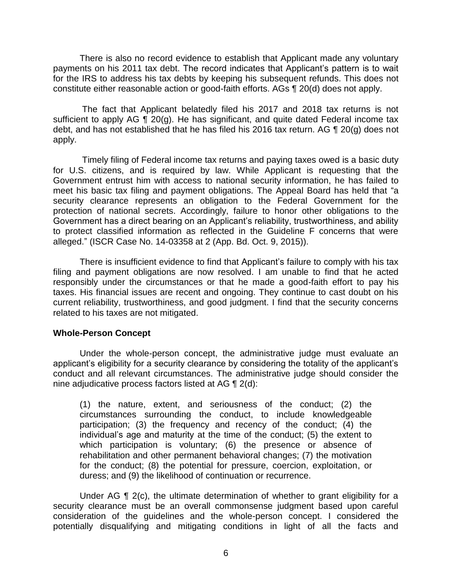There is also no record evidence to establish that Applicant made any voluntary payments on his 2011 tax debt. The record indicates that Applicant's pattern is to wait for the IRS to address his tax debts by keeping his subsequent refunds. This does not constitute either reasonable action or good-faith efforts. AGs ¶ 20(d) does not apply.

 The fact that Applicant belatedly filed his 2017 and 2018 tax returns is not sufficient to apply AG  $\P$  20(g). He has significant, and quite dated Federal income tax debt, and has not established that he has filed his 2016 tax return. AG ¶ 20(g) does not apply.

 for U.S. citizens, and is required by law. While Applicant is requesting that the Government entrust him with access to national security information, he has failed to meet his basic tax filing and payment obligations. The Appeal Board has held that "a security clearance represents an obligation to the Federal Government for the protection of national secrets. Accordingly, failure to honor other obligations to the to protect classified information as reflected in the Guideline F concerns that were Timely filing of Federal income tax returns and paying taxes owed is a basic duty Government has a direct bearing on an Applicant's reliability, trustworthiness, and ability alleged." (ISCR Case No. 14-03358 at 2 (App. Bd. Oct. 9, 2015)).

 There is insufficient evidence to find that Applicant's failure to comply with his tax filing and payment obligations are now resolved. I am unable to find that he acted responsibly under the circumstances or that he made a good-faith effort to pay his taxes. His financial issues are recent and ongoing. They continue to cast doubt on his current reliability, trustworthiness, and good judgment. I find that the security concerns related to his taxes are not mitigated.

#### **Whole-Person Concept**

Under the whole-person concept, the administrative judge must evaluate an applicant's eligibility for a security clearance by considering the totality of the applicant's conduct and all relevant circumstances. The administrative judge should consider the nine adjudicative process factors listed at AG ¶ 2(d):

(1) the nature, extent, and seriousness of the conduct; (2) the circumstances surrounding the conduct, to include knowledgeable participation; (3) the frequency and recency of the conduct; (4) the individual's age and maturity at the time of the conduct; (5) the extent to which participation is voluntary; (6) the presence or absence of rehabilitation and other permanent behavioral changes; (7) the motivation for the conduct; (8) the potential for pressure, coercion, exploitation, or duress; and (9) the likelihood of continuation or recurrence.

Under AG ¶ 2(c), the ultimate determination of whether to grant eligibility for a security clearance must be an overall commonsense judgment based upon careful consideration of the guidelines and the whole-person concept. I considered the potentially disqualifying and mitigating conditions in light of all the facts and